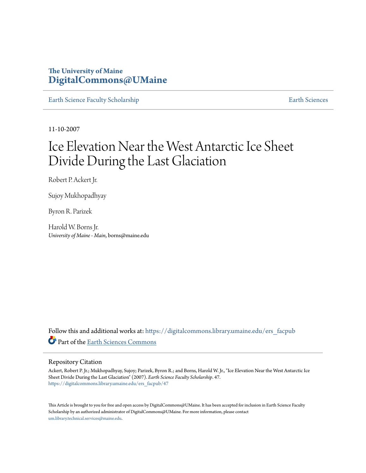# **The University of Maine [DigitalCommons@UMaine](https://digitalcommons.library.umaine.edu?utm_source=digitalcommons.library.umaine.edu%2Fers_facpub%2F47&utm_medium=PDF&utm_campaign=PDFCoverPages)**

[Earth Science Faculty Scholarship](https://digitalcommons.library.umaine.edu/ers_facpub?utm_source=digitalcommons.library.umaine.edu%2Fers_facpub%2F47&utm_medium=PDF&utm_campaign=PDFCoverPages) **[Earth Sciences](https://digitalcommons.library.umaine.edu/ers?utm_source=digitalcommons.library.umaine.edu%2Fers_facpub%2F47&utm_medium=PDF&utm_campaign=PDFCoverPages)** 

11-10-2007

# Ice Elevation Near the West Antarctic Ice Sheet Divide During the Last Glaciation

Robert P. Ackert Jr.

Sujoy Mukhopadhyay

Byron R. Parizek

Harold W. Borns Jr. *University of Maine - Main*, borns@maine.edu

Follow this and additional works at: [https://digitalcommons.library.umaine.edu/ers\\_facpub](https://digitalcommons.library.umaine.edu/ers_facpub?utm_source=digitalcommons.library.umaine.edu%2Fers_facpub%2F47&utm_medium=PDF&utm_campaign=PDFCoverPages) Part of the [Earth Sciences Commons](http://network.bepress.com/hgg/discipline/153?utm_source=digitalcommons.library.umaine.edu%2Fers_facpub%2F47&utm_medium=PDF&utm_campaign=PDFCoverPages)

## Repository Citation

Ackert, Robert P. Jr.; Mukhopadhyay, Sujoy; Parizek, Byron R.; and Borns, Harold W. Jr., "Ice Elevation Near the West Antarctic Ice Sheet Divide During the Last Glaciation" (2007). *Earth Science Faculty Scholarship*. 47. [https://digitalcommons.library.umaine.edu/ers\\_facpub/47](https://digitalcommons.library.umaine.edu/ers_facpub/47?utm_source=digitalcommons.library.umaine.edu%2Fers_facpub%2F47&utm_medium=PDF&utm_campaign=PDFCoverPages)

This Article is brought to you for free and open access by DigitalCommons@UMaine. It has been accepted for inclusion in Earth Science Faculty Scholarship by an authorized administrator of DigitalCommons@UMaine. For more information, please contact [um.library.technical.services@maine.edu](mailto:um.library.technical.services@maine.edu).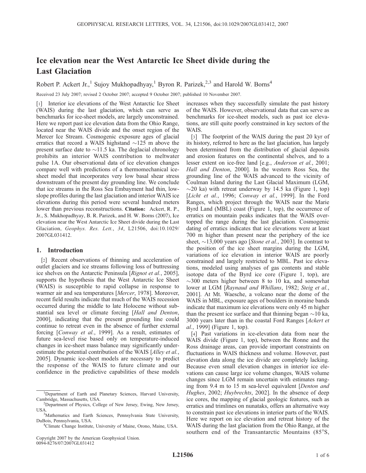# Ice elevation near the West Antarctic Ice Sheet divide during the Last Glaciation

Robert P. Ackert Jr.,<sup>1</sup> Sujoy Mukhopadhyay,<sup>1</sup> Byron R. Parizek,<sup>2,3</sup> and Harold W. Borns<sup>4</sup>

Received 23 July 2007; revised 2 October 2007; accepted 9 October 2007; published 10 November 2007.

[1] Interior ice elevations of the West Antarctic Ice Sheet (WAIS) during the last glaciation, which can serve as benchmarks for ice-sheet models, are largely unconstrained. Here we report past ice elevation data from the Ohio Range, located near the WAIS divide and the onset region of the Mercer Ice Stream. Cosmogenic exposure ages of glacial erratics that record a WAIS highstand  $\sim$ 125 m above the present surface date to  $\sim$ 11.5 ka. The deglacial chronology prohibits an interior WAIS contribution to meltwater pulse 1A. Our observational data of ice elevation changes compare well with predictions of a thermomechanical icesheet model that incorporates very low basal shear stress downstream of the present day grounding line. We conclude that ice streams in the Ross Sea Embayment had thin, lowslope profiles during the last glaciation and interior WAIS ice elevations during this period were several hundred meters lower than previous reconstructions. Citation: Ackert, R. P., Jr., S. Mukhopadhyay, B. R. Parizek, and H. W. Borns (2007), Ice elevation near the West Antarctic Ice Sheet divide during the Last Glaciation, Geophys. Res. Lett., 34, L21506, doi:10.1029/ 2007GL031412.

#### 1. Introduction

[2] Recent observations of thinning and acceleration of outlet glaciers and ice streams following loss of buttressing ice shelves on the Antarctic Peninsula [Rignot et al., 2005], supports the hypothesis that the West Antarctic Ice Sheet (WAIS) is susceptible to rapid collapse in response to warmer air and sea temperatures [Mercer, 1978]. Moreover, recent field results indicate that much of the WAIS recession occurred during the middle to late Holocene without substantial sea level or climate forcing [Hall and Denton, 2000], indicating that the present grounding line could continue to retreat even in the absence of further external forcing [Conway et al., 1999]. As a result, estimates of future sea-level rise based only on temperature-induced changes in ice-sheet mass balance may significantly underestimate the potential contribution of the WAIS [Alley et al., 2005]. Dynamic ice-sheet models are necessary to predict the response of the WAIS to future climate and our confidence in the predictive capabilities of these models

Copyright 2007 by the American Geophysical Union. 0094-8276/07/2007GL031412

increases when they successfully simulate the past history of the WAIS. However, observational data that can serve as benchmarks for ice-sheet models, such as past ice elevations, are still quite poorly constrained in key sectors of the WAIS.

[3] The footprint of the WAIS during the past 20 kyr of its history, referred to here as the last glaciation, has largely been determined from the distribution of glacial deposits and erosion features on the continental shelves, and to a lesser extent on ice-free land [e.g., Anderson et al., 2001; Hall and Denton, 2000]. In the western Ross Sea, the grounding line of the WAIS advanced to the vicinity of Coulman Island during the Last Glacial Maximum (LGM,  $\sim$ 20 ka) with retreat underway by 14.5 ka (Figure 1, top) [Licht et al., 1996; Conway et al., 1999]. In the Ford Ranges, which project through the WAIS near the Marie Byrd Land (MBL) coast (Figure 1, top), the occurrence of erratics on mountain peaks indicates that the WAIS overtopped the range during the last glaciation. Cosmogenic dating of erratics indicates that ice elevations were at least 700 m higher than present near the periphery of the ice sheet,  $\sim$ 13,000 years ago [Stone et al., 2003]. In contrast to the position of the ice sheet margins during the LGM, variations of ice elevation in interior WAIS are poorly constrained and largely restricted to MBL. Past ice elevations, modeled using analyses of gas contents and stable isotope data of the Byrd ice core (Figure 1, top), are  $\sim$ 300 meters higher between 8 to 10 ka, and somewhat lower at LGM [Raynaud and Whillans, 1982; Steig et al., 2001]. At Mt. Waesche, a volcano near the dome of the WAIS in MBL, exposure ages of boulders in moraine bands indicate that maximum ice elevations were only 45 m higher than the present ice surface and that thinning began  $\sim$ 10 ka, 3000 years later than in the coastal Ford Ranges [Ackert et al., 1999] (Figure 1, top).

[4] Past variations in ice-elevation data from near the WAIS divide (Figure 1, top), between the Ronne and the Ross drainage areas, can provide important constraints on fluctuations in WAIS thickness and volume. However, past elevation data along the ice divide are completely lacking. Because even small elevation changes in interior ice elevations can cause large ice volume changes, WAIS volume changes since LGM remain uncertain with estimates ranging from 9.4 m to 15 m sea-level equivalent [Denton and Hughes, 2002; Huybrechts, 2002]. In the absence of deep ice cores, the mapping of glacial geologic features, such as erratics and trimlines on nunataks, offers an alternative way to constrain past ice elevations in interior parts of the WAIS. Here we report on ice elevation and retreat history of the WAIS during the last glaciation from the Ohio Range, at the southern end of the Transantarctic Mountains  $(85^{\circ}S,$ 

<sup>&</sup>lt;sup>1</sup>Department of Earth and Planetary Sciences, Harvard University, Cambridge, Massachusetts, USA.

Department of Physics, College of New Jersey, Ewing, New Jersey, USA.

<sup>&</sup>lt;sup>3</sup>Mathematics and Earth Sciences, Pennsylvania State University, DuBois, Pennsylvania, USA. <sup>4</sup>

Climate Change Institute, University of Maine, Orono, Maine, USA.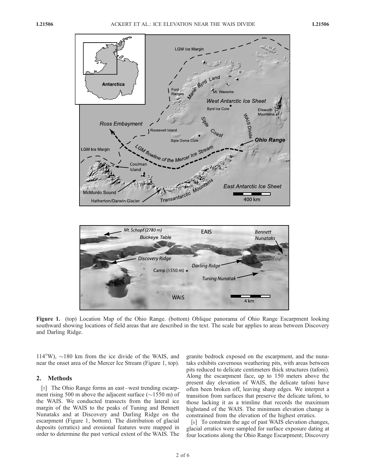



Figure 1. (top) Location Map of the Ohio Range. (bottom) Oblique panorama of Ohio Range Escarpment looking southward showing locations of field areas that are described in the text. The scale bar applies to areas between Discovery and Darling Ridge.

 $114^{\circ}$ W),  $\sim$ 180 km from the ice divide of the WAIS, and near the onset area of the Mercer Ice Stream (Figure 1, top).

#### 2. Methods

[5] The Ohio Range forms an east-west trending escarpment rising 500 m above the adjacent surface  $(\sim 1550 \text{ m})$  of the WAIS. We conducted transects from the lateral ice margin of the WAIS to the peaks of Tuning and Bennett Nunataks and at Discovery and Darling Ridge on the escarpment (Figure 1, bottom). The distribution of glacial deposits (erratics) and erosional features were mapped in order to determine the past vertical extent of the WAIS. The

granite bedrock exposed on the escarpment, and the nunataks exhibits cavernous weathering pits, with areas between pits reduced to delicate centimeters thick structures (tafoni). Along the escarpment face, up to 150 meters above the present day elevation of WAIS, the delicate tafoni have often been broken off, leaving sharp edges. We interpret a transition from surfaces that preserve the delicate tafoni, to those lacking it as a trimline that records the maximum highstand of the WAIS. The minimum elevation change is constrained from the elevation of the highest erratics.

[6] To constrain the age of past WAIS elevation changes, glacial erratics were sampled for surface exposure dating at four locations along the Ohio Range Escarpment; Discovery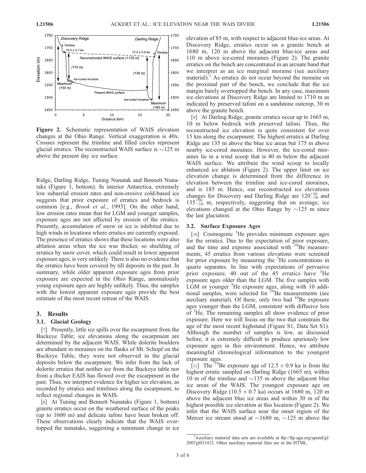

Figure 2. Schematic representation of WAIS elevation changes at the Ohio Range. Vertical exaggeration is 40x. Crosses represent the trimline and filled circles represent glacial erratics. The reconstructed WAIS surface is  $\sim$ 125 m above the present day ice surface.

Ridge, Darling Ridge, Tuning Nunatak and Bennett Nunataks (Figure 1, bottom). In interior Antarctica, extremely low subaerial erosion rates and non-erosive cold-based ice suggests that prior exposure of erratics and bedrock is common [e.g., *Brook et al.*, 1993]. On the other hand, low erosion rates mean that for LGM and younger samples, exposure ages are not affected by erosion of the erratics. Presently, accumulation of snow or ice is inhibited due to high winds in locations where erratics are currently exposed. The presence of erratics shows that these locations were also ablation areas when the ice was thicker, so shielding of erratics by snow cover, which could result in lower apparent exposure ages, is very unlikely. There is also no evidence that the erratics have been covered by till deposits in the past. In summary, while older apparent exposure ages from prior exposure are expected in the Ohio Range, anomalously young exposure ages are highly unlikely. Thus, the samples with the lowest apparent exposure ages provide the best estimate of the most recent retreat of the WAIS.

#### 3. Results

## 3.1. Glacial Geology

[7] Presently, little ice spills over the escarpment from the Buckeye Table; ice elevations along the escarpment are determined by the adjacent WAIS. While dolerite boulders are abundant in moraines on the flanks of Mt. Schopf on the Buckeye Table, they were not observed in the glacial deposits below the escarpment. We infer from the lack of dolerite erratics that neither ice from the Buckeye table nor from a thicker EAIS has flowed over the escarpment in the past. Thus, we interpret evidence for higher ice elevation, as recorded by erratics and trimlines along the escarpment, to reflect regional changes in WAIS.

[8] At Tuning and Bennett Nunataks (Figure 1, bottom) granite erratics occur on the weathered surface of the peaks (up to 1600 m) and delicate tafoni have been broken off. These observations clearly indicate that the WAIS overtopped the nunataks, suggesting a minimum change in ice

elevation of 85 m, with respect to adjacent blue-ice areas. At Discovery Ridge, erratics occur on a granite bench at 1680 m, 120 m above the adjacent blue-ice areas and 110 m above ice-cored moraines (Figure 2). The granite erratics on the bench are concentrated in an arcuate band that we interpret as an ice marginal moraine (see auxiliary material). $\frac{1}{1}$  As erratics do not occur beyond the moraine on the proximal part of the bench, we conclude that the ice margin barely overtopped the bench. In any case, maximum ice elevations at Discovery Ridge are limited to 1710 m as indicated by preserved tafoni on a sandstone outcrop, 30 m above the granite bench.

[9] At Darling Ridge, granite erratics occur up to 1665 m, 10 m below bedrock with preserved tafoni. Thus, the reconstructed ice elevation is quite consistent for over 15 km along the escarpment. The highest erratics at Darling Ridge are 135 m above the blue ice areas but 175 m above nearby ice-cored moraines. However, the ice-cored moraines lie in a wind scoop that is 40 m below the adjacent WAIS surface. We attribute the wind scoop to locally enhanced ice ablation (Figure 2). The upper limit on ice elevation change is determined from the difference in elevation between the trimline and ice-cored moraines, and is 185 m. Hence, our reconstructed ice elevations changes for Discovery and Darling Ridge are  $120^{+30}_{-10}$  and  $135^{+50}_{-10}$  m, respectively, suggesting that on average, ice elevations changed at the Ohio Range by  $\sim$ 125 m since the last glaciation.

#### 3.2. Surface Exposure Ages

[10] Cosmogenic <sup>3</sup>He provides minimum exposure ages for the erratics. Due to the expectation of prior exposure, and the time and expense associated with  $^{10}$ Be measurements, 45 erratics from various elevations were screened for prior exposure by measuring the  ${}^{3}$ He concentrations in quartz separates. In line with expectations of pervasive prior exposure, 40 out of the  $45$  erratics have  $3$ He exposure ages older than the LGM. The five samples with LGM or younger <sup>3</sup>He exposure ages, along with 10 additional samples, were selected for  $10B$  measurements (see auxiliary material). Of these, only two had  $10B$ e exposure ages younger than the LGM, consistent with diffusive loss of <sup>3</sup>He. The remaining samples all show evidence of prior exposure. Here we will focus on the two that constrain the age of the most recent highstand (Figure S1, Data Set S1). Although the number of samples is low, as discussed before, it is extremely difficult to produce spuriously low exposure ages in this environment. Hence, we attribute meaningful chronological information to the youngest exposure ages.

[11] The <sup>10</sup>Be exposure age of  $12.5 \pm 0.9$  ka is from the highest erratic sampled on Darling Ridge (1665 m), within 10 m of the trimline and  $\sim$ 135 m above the adjacent blue ice areas of the WAIS. The youngest exposure age on Discovery Ridge (10.5  $\pm$  0.7 ka) occurs at 1680 m, 120 m above the adjacent blue ice areas and within 30 m of the highest possible ice elevation at this location (Figure 2). We infer that the WAIS surface near the onset region of the Mercer ice stream stood at  $\sim$ 1680 m,  $\sim$ 125 m above the

<sup>&</sup>lt;sup>1</sup>Auxiliary material data sets are available at ftp://ftp.agu.org/apend/gl/ 2007gl031412. Other auxiliary material files are in the HTML.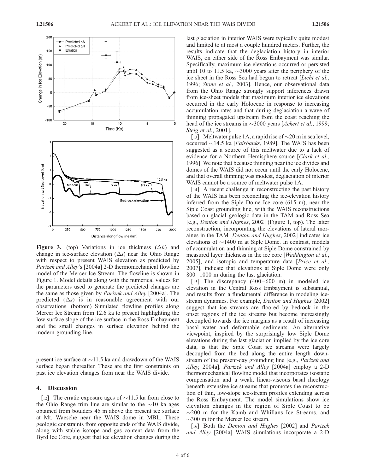

**Figure 3.** (top) Variations in ice thickness  $(\Delta h)$  and change in ice-surface elevation  $(\Delta s)$  near the Ohio Range with respect to present WAIS elevation as predicted by Parizek and Alley's [2004a] 2-D thermomechanical flowline model of the Mercer Ice Stream. The flowline is shown in Figure 1. Model details along with the numerical values for the parameters used to generate the predicted changes are the same as those given by Parizek and Alley [2004a]. The predicted  $(\Delta s)$  is in reasonable agreement with our observations. (bottom) Simulated flowline profiles along Mercer Ice Stream from 12.6 ka to present highlighting the low surface slope of the ice surface in the Ross Embayment and the small changes in surface elevation behind the modern grounding line.

present ice surface at  $\sim$ 11.5 ka and drawdown of the WAIS surface began thereafter. These are the first constraints on past ice elevation changes from near the WAIS divide.

## 4. Discussion

[12] The erratic exposure ages of  $\sim$ 11.5 ka from close to the Ohio Range trim line are similar to the  $\sim$ 10 ka ages obtained from boulders 45 m above the present ice surface at Mt. Waesche near the WAIS dome in MBL. These geologic constraints from opposite ends of the WAIS divide, along with stable isotope and gas content data from the Byrd Ice Core, suggest that ice elevation changes during the last glaciation in interior WAIS were typically quite modest and limited to at most a couple hundred meters. Further, the results indicate that the deglaciation history in interior WAIS, on either side of the Ross Embayment was similar. Specifically, maximum ice elevations occurred or persisted until 10 to 11.5 ka,  $\sim$ 3000 years after the periphery of the ice sheet in the Ross Sea had begun to retreat [Licht et al., 1996; Stone et al., 2003]. Hence, our observational data from the Ohio Range strongly support inferences drawn from ice-sheet models that maximum interior ice elevations occurred in the early Holocene in response to increasing accumulation rates and that during deglaciation a wave of thinning propagated upstream from the coast reaching the head of the ice streams in  $\sim$ 3000 years [Ackert et al., 1999; Steig et al., 2001].

[13] Meltwater pulse 1A, a rapid rise of  $\sim$ 20 m in sea level, occurred  $\sim$ 14.5 ka [*Fairbanks*, 1989]. The WAIS has been suggested as a source of this meltwater due to a lack of evidence for a Northern Hemisphere source [Clark et al., 1996]. We note that because thinning near the ice divides and domes of the WAIS did not occur until the early Holocene, and that overall thinning was modest, deglaciation of interior WAIS cannot be a source of meltwater pulse 1A.

[14] A recent challenge in reconstructing the past history of the WAIS has been reconciling the ice-elevation history inferred from the Siple Dome Ice core (615 m), near the Siple Coast grounding line, with the WAIS reconstructions based on glacial geologic data in the TAM and Ross Sea [e.g., Denton and Hughes, 2002] (Figure 1, top). The latter reconstruction, incorporating the elevations of lateral moraines in the TAM [Denton and Hughes, 2002] indicates ice elevations of  $\sim$ 1400 m at Siple Dome. In contrast, models of accumulation and thinning at Siple Dome constrained by measured layer thickness in the ice core [*Waddington et al.*, 2005], and isotopic and temperature data [Price et al., 2007], indicate that elevations at Siple Dome were only 800– 1000 m during the last glaciation.

[15] The discrepancy  $(400-600 \text{ m})$  in modeled ice elevation in the Central Ross Embayment is substantial, and results from a fundamental difference in modeling icestream dynamics. For example, Denton and Hughes [2002] suggest that ice streams are floored by bedrock in the onset regions of the ice streams but become increasingly decoupled towards the ice margins as a result of increasing basal water and deformable sediments. An alternative viewpoint, inspired by the surprisingly low Siple Dome elevations during the last glaciation implied by the ice core data, is that the Siple Coast ice streams were largely decoupled from the bed along the entire length downstream of the present-day grounding line [e.g., Parizek and Alley, 2004a]. Parizek and Alley [2004a] employ a 2-D thermomechanical flowline model that incorporates isostatic compensation and a weak, linear-viscous basal rheology beneath extensive ice streams that promotes the reconstruction of thin, low-slope ice-stream profiles extending across the Ross Embayment. The model simulations show ice elevation changes in the region of Siple Coast to be  $\sim$ 200 m for the Kamb and Whillans Ice Streams, and  $\sim$ 300 m for the Mercer Ice stream.

[16] Both the *Denton and Hughes* [2002] and *Parizek* and Alley [2004a] WAIS simulations incorporate a 2-D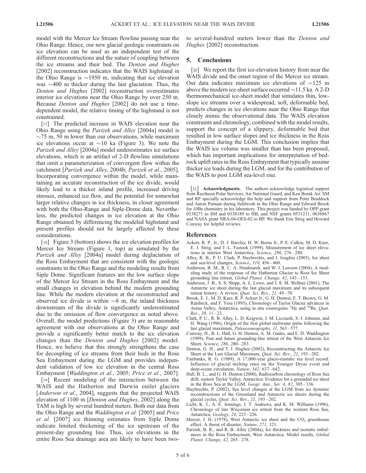model with the Mercer Ice Stream flowline passing near the Ohio Range. Hence, our new glacial geologic constraints on ice elevation can be used as an independent test of the different reconstructions and the nature of coupling between the ice streams and their bed. The Denton and Hughes [2002] reconstruction indicates that the WAIS highstand in the Ohio Range is  $\sim$ 1950 m, indicating that ice elevation was  $\sim$ 400 m thicker during the last glaciation. Thus, the Denton and Hughes [2002] reconstruction overestimates interior ice elevations near the Ohio Range by over 250 m. Because Denton and Hughes [2002] do not use a timedependent model, the relative timing of the highstand is not constrained.

[17] The predicted increase in WAIS elevation near the Ohio Range using the Parizek and Alley [2004a] model is  $\sim$ 75 m, 50 m lower than our observations, while maximum ice elevations occur at  $\sim$ 10 ka (Figure 3). We note the Parizek and Alley [2004a] model underestimates ice surface elevations, which is an artifact of 2-D flowline simulations that omit a parameterization of convergent flow within the catchment [Parizek and Alley, 2004b; Parizek et al., 2005]. Incorporating convergence within the model, while maintaining an accurate reconstruction of the ice divide, would likely lead to a thicker inland profile, increased driving stresses, enhanced ice flow, and the potential for somewhat larger relative changes in ice thickness, in closer agreement with both the Ohio-Range and Siple-Dome data. Nevertheless, the predicted changes in ice elevation at the Ohio Range obtained by differencing the modeled highstand and present profiles should not be largely affected by these considerations.

[18] Figure 3 (bottom) shows the ice elevation profiles for Mercer Ice Stream (Figure 1, top) as simulated by the Parizek and Alley [2004a] model during deglaciation of the Ross Embayment that are consistent with the geologic constraints in the Ohio Range and the modeling results from Siple Dome. Significant features are the low surface slope of the Mercer Ice Stream in the Ross Embayment and the small changes in elevation behind the modern grounding line. While the modern elevation at the reconstructed and observed ice divide is within  $\sim 8$  m, the inland thickness downstream of the divide is significantly underestimated due to the omission of flow convergence as noted above. Overall, the model predictions (Figure 3) are in reasonable agreement with our observations at the Ohio Range and provide a significantly better match to the ice elevation changes than the Denton and Hughes [2002] model. Hence, we believe that this strongly strengthens the case for decoupling of ice streams from their beds in the Ross Sea Embayment during the LGM and provides independent validation of low ice elevation in the central Ross Embayment [Waddington et al., 2005; Price et al., 2007].

[19] Recent modeling of the interaction between the WAIS and the Hatherton and Darwin outlet glaciers [Anderson et al., 2004], suggests that the projected WAIS elevation of 1100 m [Denton and Hughes, 2002] along the TAM is high by several hundred meters. Both our data from the Ohio Range and the Waddington et al. [2005] and Price et al. [2007] ice thinning estimates from Siple Dome indicate limited thickening of the ice upstream of the present-day grounding line. Thus, ice elevations in the entire Ross Sea drainage area are likely to have been twoto several-hundred meters lower than the Denton and Hughes [2002] reconstruction.

#### 5. Conclusions

[20] We report the first ice-elevation history from near the WAIS divide and the onset region of the Mercer ice stream. Our data indicates maximum ice elevations of  $\sim$ 125 m above the modern ice-sheet surface occurred  $\sim$ 11.5 ka. A 2-D thermomechanical ice-sheet model that simulates thin, lowslope ice streams over a widespread, soft, deformable bed, predicts changes in ice elevations near the Ohio Range that closely mimic the observational data. The WAIS elevation constraints and chronology, combined with the model results, support the concept of a slippery, deformable bed that resulted in low surface slopes and ice thickness in the Ross Embayment during the LGM. This conclusion implies that the WAIS ice volume was smaller than has been proposed, which has important implications for interpretation of bedrock uplift rates in the Ross Embayment that typically assume thicker ice loads during the LGM, and for the contribution of the WAIS to post LGM sea-level rise.

[21] Acknowledgments. The authors acknowledge logistical support from Raytheon Polar Services, Air National Guard, and Ken Borak Air. SM and RP specially acknowledge the help and support from Peter Braddock and Aaron Putnam during fieldwork in the Ohio Range and Edward Brook for 10Be chemistry in his laboratory. This project was funded by OPP grant 0338271 to SM and 0338189 to HB, and NSF grants 0531211, 0636867 and NASA grant NRA-04-OES-02 to BP. We thank Eric Steig and Howard Conway for helpful reviews.

#### References

- Ackert, R. P., Jr., D. J. Barclay, H. W. Borns Jr., P. E. Calkin, M. D. Kurz, E. J. Steig, and J. L. Fastook (1999), Measurement of ice sheet elevations in interior West Antarctica, Science, 286, 276-280.
- Alley, R. B., P. U. Clark, P. Huybrechts, and I. Joughin (2005), Ice sheet and sea-level changes, Science, 310, 456-460.
- Anderson, B. M., R. C. A. Hindmarsh, and W. J. Lawson (2004), A modeling study of the response of the Hatherton Glacier to Ross Ice Sheet grounding line retreat, Global Planet. Change, 42, 143-153.
- Anderson, J. B., S. S. Shipp, A. L. Lowe, and J. S. M. Wellner (2001), The Antarctic ice sheet during the last glacial maximum and its subsequent retreat history: A review, *Quat. Sci. Rev.*, 21, 49-70.
- Brook, E. J., M. D. Kurz, R. P. Ackert Jr., G. H. Denton, E. T. Brown, G. M. Raisbeck, and F. Yiou (1993), Chronology of Taylor Glacier advances in Arena Valley, Antarctica, using in situ cosmogenic <sup>3</sup>He and <sup>10</sup>Be, *Quat*.  $Res.$ , 39, 11-23.
- Clark, P. U., R. B. Alley, L. D. Keigwin, J. M. Licciardi, S. J. Johnsen, and H. Wang (1996), Origin of the first global meltwater pulse following the last glacial maximum, Paleoceanography, 11, 563-577.
- Conway, H., B. L. Hall, G. H. Denton, A. M. Gades, and E. D. Waddington (1999), Past and future grounding-line retreat of the West Antarctic Ice Sheet, Science, 286, 280-283.
- Denton, G. H., and T. J. Hughes (2002), Reconstructing the Antarctic Ice Sheet at the Last Glacial Maximum, Quat. Sci. Rev., 21, 193-202.
- Fairbanks, R. G. (1989), A 17,000-year glacio-eustatic sea level record: Influence of glacial melting rates on the Younger Dryas event and deep-ocean circulation, Nature, 342, 637–642.
- Hall, B. L., and G. H. Denton (2000), Radiocarbon chronology of Ross Sea drift, eastern Taylor Valley, Antarctica: Evidence for a grounded ice sheet in the Ross Sea at the LGM, Geogr. Ann., Ser. A, 82, 305 – 336.
- Huybrechts, P. (2002), Sea level changes at the LGM from ice dynamic reconstructions of the Greenland and Antarctic ice sheets during the glacial cycles, Quat. Sci. Rev., 21, 193-202.
- Licht, K. J., A. E. Jennings, J. T. Andrews, and K. M. Williams (1996), Chronology of late Wisconsin ice retreat from the western Ross Sea, Antarctica, Geology, 24, 223 – 226.
- Mercer, J. H. (1978), West Antarctic ice sheet and the  $CO<sub>2</sub>$  greenhouse effect: A threat of disaster, Nature, 271, 321.
- Parizek, B. R., and R. B. Alley (2004a), Ice thickness and isostatic imbalances in the Ross Embayment, West Antarctica: Model results, Global Planet. Change, 42, 265 – 278.